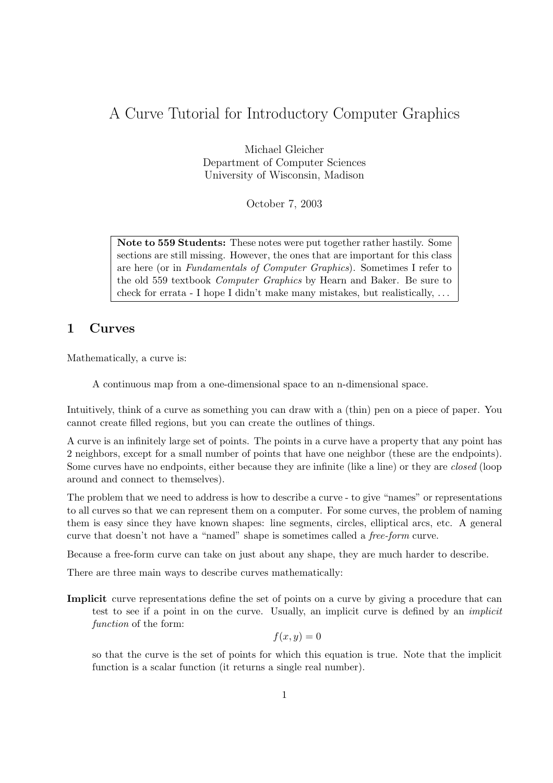# A Curve Tutorial for Introductory Computer Graphics

Michael Gleicher Department of Computer Sciences University of Wisconsin, Madison

October 7, 2003

Note to 559 Students: These notes were put together rather hastily. Some sections are still missing. However, the ones that are important for this class are here (or in Fundamentals of Computer Graphics). Sometimes I refer to the old 559 textbook Computer Graphics by Hearn and Baker. Be sure to check for errata - I hope I didn't make many mistakes, but realistically, . . .

## 1 Curves

Mathematically, a curve is:

A continuous map from a one-dimensional space to an n-dimensional space.

Intuitively, think of a curve as something you can draw with a (thin) pen on a piece of paper. You cannot create filled regions, but you can create the outlines of things.

A curve is an infinitely large set of points. The points in a curve have a property that any point has 2 neighbors, except for a small number of points that have one neighbor (these are the endpoints). Some curves have no endpoints, either because they are infinite (like a line) or they are closed (loop around and connect to themselves).

The problem that we need to address is how to describe a curve - to give "names" or representations to all curves so that we can represent them on a computer. For some curves, the problem of naming them is easy since they have known shapes: line segments, circles, elliptical arcs, etc. A general curve that doesn't not have a "named" shape is sometimes called a free-form curve.

Because a free-form curve can take on just about any shape, they are much harder to describe.

There are three main ways to describe curves mathematically:

Implicit curve representations define the set of points on a curve by giving a procedure that can test to see if a point in on the curve. Usually, an implicit curve is defined by an implicit function of the form:

## $f(x, y) = 0$

so that the curve is the set of points for which this equation is true. Note that the implicit function is a scalar function (it returns a single real number).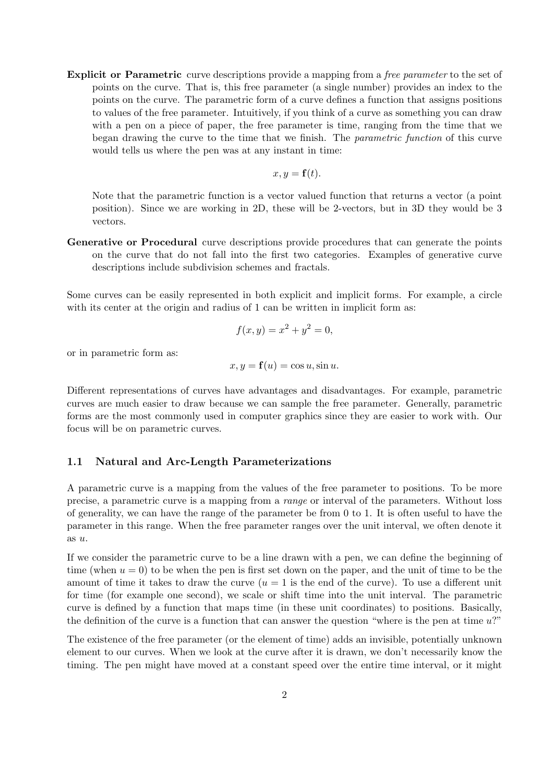Explicit or Parametric curve descriptions provide a mapping from a free parameter to the set of points on the curve. That is, this free parameter (a single number) provides an index to the points on the curve. The parametric form of a curve defines a function that assigns positions to values of the free parameter. Intuitively, if you think of a curve as something you can draw with a pen on a piece of paper, the free parameter is time, ranging from the time that we began drawing the curve to the time that we finish. The parametric function of this curve would tells us where the pen was at any instant in time:

$$
x, y = \mathbf{f}(t).
$$

Note that the parametric function is a vector valued function that returns a vector (a point position). Since we are working in 2D, these will be 2-vectors, but in 3D they would be 3 vectors.

Generative or Procedural curve descriptions provide procedures that can generate the points on the curve that do not fall into the first two categories. Examples of generative curve descriptions include subdivision schemes and fractals.

Some curves can be easily represented in both explicit and implicit forms. For example, a circle with its center at the origin and radius of 1 can be written in implicit form as:

$$
f(x, y) = x^2 + y^2 = 0,
$$

or in parametric form as:

$$
x, y = \mathbf{f}(u) = \cos u, \sin u.
$$

Different representations of curves have advantages and disadvantages. For example, parametric curves are much easier to draw because we can sample the free parameter. Generally, parametric forms are the most commonly used in computer graphics since they are easier to work with. Our focus will be on parametric curves.

### 1.1 Natural and Arc-Length Parameterizations

A parametric curve is a mapping from the values of the free parameter to positions. To be more precise, a parametric curve is a mapping from a range or interval of the parameters. Without loss of generality, we can have the range of the parameter be from 0 to 1. It is often useful to have the parameter in this range. When the free parameter ranges over the unit interval, we often denote it as u.

If we consider the parametric curve to be a line drawn with a pen, we can define the beginning of time (when  $u = 0$ ) to be when the pen is first set down on the paper, and the unit of time to be the amount of time it takes to draw the curve  $(u = 1$  is the end of the curve). To use a different unit for time (for example one second), we scale or shift time into the unit interval. The parametric curve is defined by a function that maps time (in these unit coordinates) to positions. Basically, the definition of the curve is a function that can answer the question "where is the pen at time  $u$ ?"

The existence of the free parameter (or the element of time) adds an invisible, potentially unknown element to our curves. When we look at the curve after it is drawn, we don't necessarily know the timing. The pen might have moved at a constant speed over the entire time interval, or it might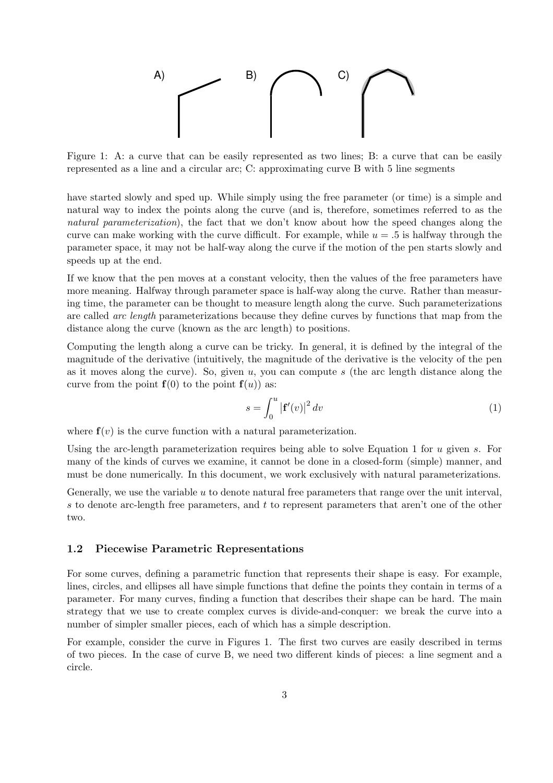

Figure 1: A: a curve that can be easily represented as two lines; B: a curve that can be easily represented as a line and a circular arc; C: approximating curve B with 5 line segments

have started slowly and sped up. While simply using the free parameter (or time) is a simple and natural way to index the points along the curve (and is, therefore, sometimes referred to as the natural parameterization), the fact that we don't know about how the speed changes along the curve can make working with the curve difficult. For example, while  $u = .5$  is halfway through the parameter space, it may not be half-way along the curve if the motion of the pen starts slowly and speeds up at the end.

If we know that the pen moves at a constant velocity, then the values of the free parameters have more meaning. Halfway through parameter space is half-way along the curve. Rather than measuring time, the parameter can be thought to measure length along the curve. Such parameterizations are called arc length parameterizations because they define curves by functions that map from the distance along the curve (known as the arc length) to positions.

Computing the length along a curve can be tricky. In general, it is defined by the integral of the magnitude of the derivative (intuitively, the magnitude of the derivative is the velocity of the pen as it moves along the curve). So, given  $u$ , you can compute s (the arc length distance along the curve from the point  $f(0)$  to the point  $f(u)$  as:

$$
s = \int_0^u \left| \mathbf{f}'(v) \right|^2 dv \tag{1}
$$

where  $f(v)$  is the curve function with a natural parameterization.

Using the arc-length parameterization requires being able to solve Equation 1 for  $u$  given  $s$ . For many of the kinds of curves we examine, it cannot be done in a closed-form (simple) manner, and must be done numerically. In this document, we work exclusively with natural parameterizations.

Generally, we use the variable  $u$  to denote natural free parameters that range over the unit interval, s to denote arc-length free parameters, and t to represent parameters that aren't one of the other two.

#### 1.2 Piecewise Parametric Representations

For some curves, defining a parametric function that represents their shape is easy. For example, lines, circles, and ellipses all have simple functions that define the points they contain in terms of a parameter. For many curves, finding a function that describes their shape can be hard. The main strategy that we use to create complex curves is divide-and-conquer: we break the curve into a number of simpler smaller pieces, each of which has a simple description.

For example, consider the curve in Figures 1. The first two curves are easily described in terms of two pieces. In the case of curve B, we need two different kinds of pieces: a line segment and a circle.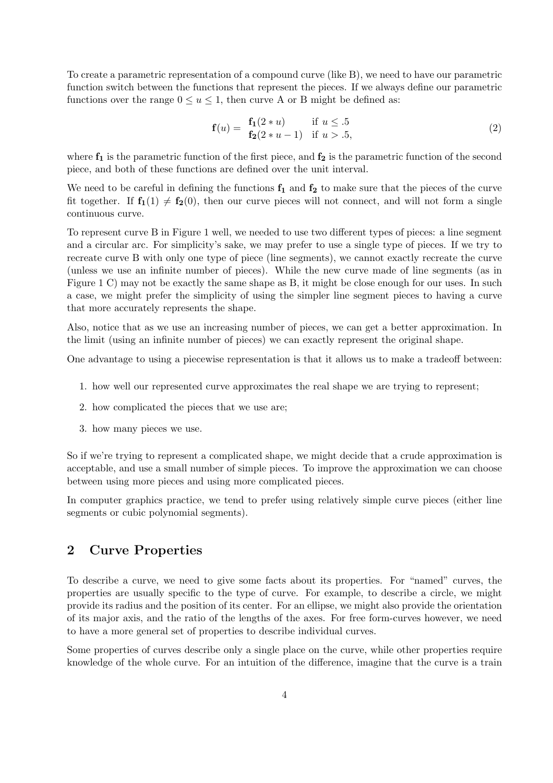To create a parametric representation of a compound curve (like B), we need to have our parametric function switch between the functions that represent the pieces. If we always define our parametric functions over the range  $0 \le u \le 1$ , then curve A or B might be defined as:

$$
\mathbf{f}(u) = \begin{cases} \mathbf{f}_1(2*u) & \text{if } u \leq .5\\ \mathbf{f}_2(2*u-1) & \text{if } u > .5, \end{cases}
$$
 (2)

where  $f_1$  is the parametric function of the first piece, and  $f_2$  is the parametric function of the second piece, and both of these functions are defined over the unit interval.

We need to be careful in defining the functions  $f_1$  and  $f_2$  to make sure that the pieces of the curve fit together. If  $f_1(1) \neq f_2(0)$ , then our curve pieces will not connect, and will not form a single continuous curve.

To represent curve B in Figure 1 well, we needed to use two different types of pieces: a line segment and a circular arc. For simplicity's sake, we may prefer to use a single type of pieces. If we try to recreate curve B with only one type of piece (line segments), we cannot exactly recreate the curve (unless we use an infinite number of pieces). While the new curve made of line segments (as in Figure 1 C) may not be exactly the same shape as B, it might be close enough for our uses. In such a case, we might prefer the simplicity of using the simpler line segment pieces to having a curve that more accurately represents the shape.

Also, notice that as we use an increasing number of pieces, we can get a better approximation. In the limit (using an infinite number of pieces) we can exactly represent the original shape.

One advantage to using a piecewise representation is that it allows us to make a tradeoff between:

- 1. how well our represented curve approximates the real shape we are trying to represent;
- 2. how complicated the pieces that we use are;
- 3. how many pieces we use.

So if we're trying to represent a complicated shape, we might decide that a crude approximation is acceptable, and use a small number of simple pieces. To improve the approximation we can choose between using more pieces and using more complicated pieces.

In computer graphics practice, we tend to prefer using relatively simple curve pieces (either line segments or cubic polynomial segments).

## 2 Curve Properties

To describe a curve, we need to give some facts about its properties. For "named" curves, the properties are usually specific to the type of curve. For example, to describe a circle, we might provide its radius and the position of its center. For an ellipse, we might also provide the orientation of its major axis, and the ratio of the lengths of the axes. For free form-curves however, we need to have a more general set of properties to describe individual curves.

Some properties of curves describe only a single place on the curve, while other properties require knowledge of the whole curve. For an intuition of the difference, imagine that the curve is a train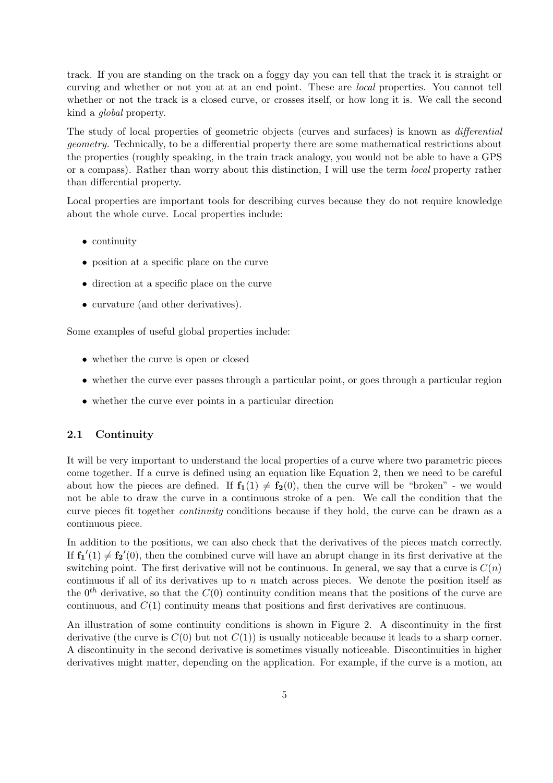track. If you are standing on the track on a foggy day you can tell that the track it is straight or curving and whether or not you at at an end point. These are local properties. You cannot tell whether or not the track is a closed curve, or crosses itself, or how long it is. We call the second kind a global property.

The study of local properties of geometric objects (curves and surfaces) is known as differential geometry. Technically, to be a differential property there are some mathematical restrictions about the properties (roughly speaking, in the train track analogy, you would not be able to have a GPS or a compass). Rather than worry about this distinction, I will use the term local property rather than differential property.

Local properties are important tools for describing curves because they do not require knowledge about the whole curve. Local properties include:

- continuity
- position at a specific place on the curve
- direction at a specific place on the curve
- curvature (and other derivatives).

Some examples of useful global properties include:

- whether the curve is open or closed
- whether the curve ever passes through a particular point, or goes through a particular region
- whether the curve ever points in a particular direction

### 2.1 Continuity

It will be very important to understand the local properties of a curve where two parametric pieces come together. If a curve is defined using an equation like Equation 2, then we need to be careful about how the pieces are defined. If  $f_1(1) \neq f_2(0)$ , then the curve will be "broken" - we would not be able to draw the curve in a continuous stroke of a pen. We call the condition that the curve pieces fit together continuity conditions because if they hold, the curve can be drawn as a continuous piece.

In addition to the positions, we can also check that the derivatives of the pieces match correctly. If  $f_1'(1) \neq f_2'(0)$ , then the combined curve will have an abrupt change in its first derivative at the switching point. The first derivative will not be continuous. In general, we say that a curve is  $C(n)$ continuous if all of its derivatives up to  $n$  match across pieces. We denote the position itself as the  $0<sup>th</sup>$  derivative, so that the  $C(0)$  continuity condition means that the positions of the curve are continuous, and C(1) continuity means that positions and first derivatives are continuous.

An illustration of some continuity conditions is shown in Figure 2. A discontinuity in the first derivative (the curve is  $C(0)$  but not  $C(1)$ ) is usually noticeable because it leads to a sharp corner. A discontinuity in the second derivative is sometimes visually noticeable. Discontinuities in higher derivatives might matter, depending on the application. For example, if the curve is a motion, an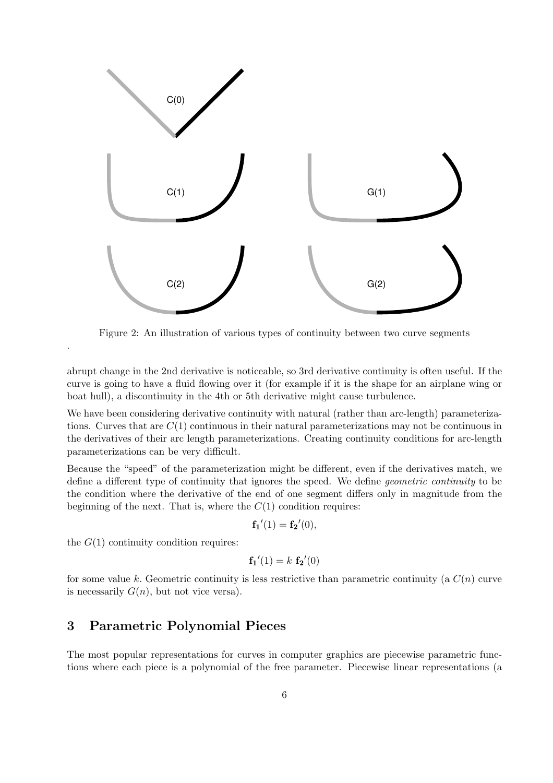

Figure 2: An illustration of various types of continuity between two curve segments

abrupt change in the 2nd derivative is noticeable, so 3rd derivative continuity is often useful. If the curve is going to have a fluid flowing over it (for example if it is the shape for an airplane wing or boat hull), a discontinuity in the 4th or 5th derivative might cause turbulence.

We have been considering derivative continuity with natural (rather than arc-length) parameterizations. Curves that are  $C(1)$  continuous in their natural parameterizations may not be continuous in the derivatives of their arc length parameterizations. Creating continuity conditions for arc-length parameterizations can be very difficult.

Because the "speed" of the parameterization might be different, even if the derivatives match, we define a different type of continuity that ignores the speed. We define geometric continuity to be the condition where the derivative of the end of one segment differs only in magnitude from the beginning of the next. That is, where the  $C(1)$  condition requires:

$$
\mathbf{f_1}'(1) = \mathbf{f_2}'(0),
$$

the  $G(1)$  continuity condition requires:

.

$$
\mathbf{f_1}'(1) = k \; \mathbf{f_2}'(0)
$$

for some value k. Geometric continuity is less restrictive than parametric continuity (a  $C(n)$  curve is necessarily  $G(n)$ , but not vice versa).

## 3 Parametric Polynomial Pieces

The most popular representations for curves in computer graphics are piecewise parametric functions where each piece is a polynomial of the free parameter. Piecewise linear representations (a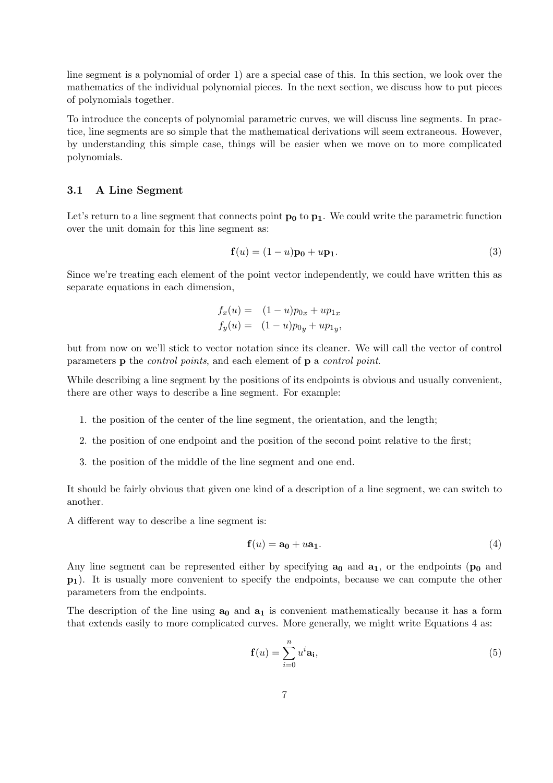line segment is a polynomial of order 1) are a special case of this. In this section, we look over the mathematics of the individual polynomial pieces. In the next section, we discuss how to put pieces of polynomials together.

To introduce the concepts of polynomial parametric curves, we will discuss line segments. In practice, line segments are so simple that the mathematical derivations will seem extraneous. However, by understanding this simple case, things will be easier when we move on to more complicated polynomials.

### 3.1 A Line Segment

Let's return to a line segment that connects point  $\mathbf{p_0}$  to  $\mathbf{p_1}$ . We could write the parametric function over the unit domain for this line segment as:

$$
\mathbf{f}(u) = (1 - u)\mathbf{p_0} + u\mathbf{p_1}.\tag{3}
$$

Since we're treating each element of the point vector independently, we could have written this as separate equations in each dimension,

$$
f_x(u) = (1 - u)p_{0x} + up_{1x}
$$
  

$$
f_y(u) = (1 - u)p_{0y} + up_{1y},
$$

but from now on we'll stick to vector notation since its cleaner. We will call the vector of control parameters p the control points, and each element of p a control point.

While describing a line segment by the positions of its endpoints is obvious and usually convenient, there are other ways to describe a line segment. For example:

- 1. the position of the center of the line segment, the orientation, and the length;
- 2. the position of one endpoint and the position of the second point relative to the first;
- 3. the position of the middle of the line segment and one end.

It should be fairly obvious that given one kind of a description of a line segment, we can switch to another.

A different way to describe a line segment is:

$$
\mathbf{f}(u) = \mathbf{a_0} + u\mathbf{a_1}.\tag{4}
$$

Any line segment can be represented either by specifying  $\mathbf{a}_0$  and  $\mathbf{a}_1$ , or the endpoints ( $\mathbf{p}_0$  and p1). It is usually more convenient to specify the endpoints, because we can compute the other parameters from the endpoints.

The description of the line using  $a_0$  and  $a_1$  is convenient mathematically because it has a form that extends easily to more complicated curves. More generally, we might write Equations 4 as:

$$
\mathbf{f}(u) = \sum_{i=0}^{n} u^{i} \mathbf{a}_{i},\tag{5}
$$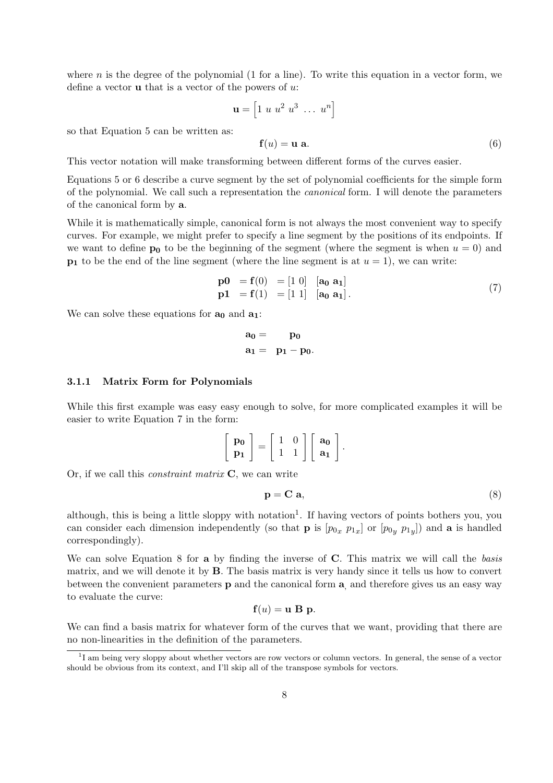where n is the degree of the polynomial  $(1 \text{ for a line})$ . To write this equation in a vector form, we define a vector  $\bf{u}$  that is a vector of the powers of u:

$$
\mathbf{u} = \left[1 \ u \ u^2 \ u^3 \ \dots \ u^n\right]
$$

so that Equation 5 can be written as:

$$
\mathbf{f}(u) = \mathbf{u} \mathbf{a}.\tag{6}
$$

This vector notation will make transforming between different forms of the curves easier.

Equations 5 or 6 describe a curve segment by the set of polynomial coefficients for the simple form of the polynomial. We call such a representation the canonical form. I will denote the parameters of the canonical form by a.

While it is mathematically simple, canonical form is not always the most convenient way to specify curves. For example, we might prefer to specify a line segment by the positions of its endpoints. If we want to define  $\mathbf{p}_0$  to be the beginning of the segment (where the segment is when  $u = 0$ ) and  $p_1$  to be the end of the line segment (where the line segment is at  $u = 1$ ), we can write:

$$
\begin{array}{lll}\n\mathbf{p0} & = \mathbf{f}(0) & = [1 \ 0] & [\mathbf{a_0} \ \mathbf{a_1}] \\
\mathbf{p1} & = \mathbf{f}(1) & = [1 \ 1] & [\mathbf{a_0} \ \mathbf{a_1}].\n\end{array} \tag{7}
$$

We can solve these equations for  $a_0$  and  $a_1$ :

$$
\begin{aligned}\na_0 &= \quad p_0 \\
a_1 &= \quad p_1 - p_0.\n\end{aligned}
$$

#### 3.1.1 Matrix Form for Polynomials

While this first example was easy easy enough to solve, for more complicated examples it will be easier to write Equation 7 in the form:

$$
\left[\begin{array}{c} \mathbf{p_0} \\ \mathbf{p_1} \end{array}\right] = \left[\begin{array}{cc} 1 & 0 \\ 1 & 1 \end{array}\right] \left[\begin{array}{c} \mathbf{a_0} \\ \mathbf{a_1} \end{array}\right].
$$

Or, if we call this *constraint matrix*  $C$ , we can write

$$
\mathbf{p} = \mathbf{C} \mathbf{a},\tag{8}
$$

although, this is being a little sloppy with notation<sup>1</sup>. If having vectors of points bothers you, you can consider each dimension independently (so that **p** is  $[p_{0x}$   $p_{1x}]$  or  $[p_{0y}$   $p_{1y}]$ ) and **a** is handled correspondingly).

We can solve Equation 8 for a by finding the inverse of C. This matrix we will call the basis matrix, and we will denote it by B. The basis matrix is very handy since it tells us how to convert between the convenient parameters p and the canonical form a, and therefore gives us an easy way to evaluate the curve:

$$
\mathbf{f}(u) = \mathbf{u} \mathbf{B} \mathbf{p}.
$$

We can find a basis matrix for whatever form of the curves that we want, providing that there are no non-linearities in the definition of the parameters.

<sup>&</sup>lt;sup>1</sup>I am being very sloppy about whether vectors are row vectors or column vectors. In general, the sense of a vector should be obvious from its context, and I'll skip all of the transpose symbols for vectors.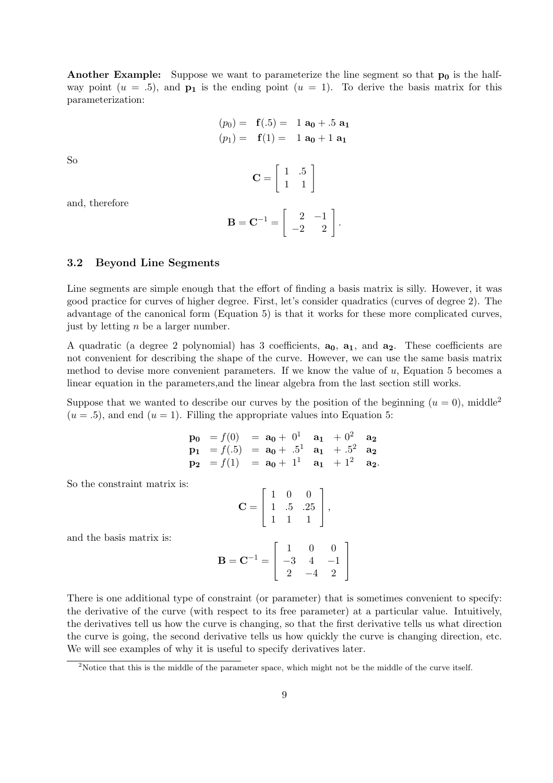Another Example: Suppose we want to parameterize the line segment so that  $p_0$  is the halfway point  $(u = .5)$ , and  $\mathbf{p}_1$  is the ending point  $(u = 1)$ . To derive the basis matrix for this parameterization:

$$
(p_0)
$$
 =  $\mathbf{f}(.5)$  = 1  $\mathbf{a_0}$  + .5  $\mathbf{a_1}$   
\n $(p_1)$  =  $\mathbf{f}(1)$  = 1  $\mathbf{a_0}$  + 1  $\mathbf{a_1}$ 

So

$$
\mathbf{C} = \begin{bmatrix} 1 & .5 \\ 1 & 1 \end{bmatrix}
$$

$$
\mathbf{B} = \mathbf{C}^{-1} = \begin{bmatrix} 2 & -1 \\ -2 & 2 \end{bmatrix}
$$

.

and, therefore

#### 3.2 Beyond Line Segments

Line segments are simple enough that the effort of finding a basis matrix is silly. However, it was good practice for curves of higher degree. First, let's consider quadratics (curves of degree 2). The advantage of the canonical form (Equation 5) is that it works for these more complicated curves, just by letting  $n$  be a larger number.

A quadratic (a degree 2 polynomial) has 3 coefficients,  $\mathbf{a_0}, \mathbf{a_1}, \text{ and } \mathbf{a_2}.$  These coefficients are not convenient for describing the shape of the curve. However, we can use the same basis matrix method to devise more convenient parameters. If we know the value of u, Equation 5 becomes a linear equation in the parameters,and the linear algebra from the last section still works.

Suppose that we wanted to describe our curves by the position of the beginning  $(u = 0)$ , middle<sup>2</sup>  $(u = .5)$ , and end  $(u = 1)$ . Filling the appropriate values into Equation 5:

$$
\begin{array}{llll}\n\mathbf{p_0} & = f(0) & = \mathbf{a_0} + 0^1 & \mathbf{a_1} + 0^2 & \mathbf{a_2} \\
\mathbf{p_1} & = f(.5) & = \mathbf{a_0} + .5^1 & \mathbf{a_1} + .5^2 & \mathbf{a_2} \\
\mathbf{p_2} & = f(1) & = \mathbf{a_0} + 1^1 & \mathbf{a_1} + 1^2 & \mathbf{a_2}.\n\end{array}
$$

So the constraint matrix is:

and the basis matrix is:

$$
\mathbf{C} = \begin{bmatrix} 1 & 0 & 0 \\ 1 & .5 & .25 \\ 1 & 1 & 1 \end{bmatrix},
$$

$$
\mathbf{B} = \mathbf{C}^{-1} = \begin{bmatrix} 1 & 0 & 0 \\ -3 & 4 & -1 \\ 2 & -4 & 2 \end{bmatrix}
$$

There is one additional type of constraint (or parameter) that is sometimes convenient to specify: the derivative of the curve (with respect to its free parameter) at a particular value. Intuitively, the derivatives tell us how the curve is changing, so that the first derivative tells us what direction the curve is going, the second derivative tells us how quickly the curve is changing direction, etc. We will see examples of why it is useful to specify derivatives later.

<sup>&</sup>lt;sup>2</sup>Notice that this is the middle of the parameter space, which might not be the middle of the curve itself.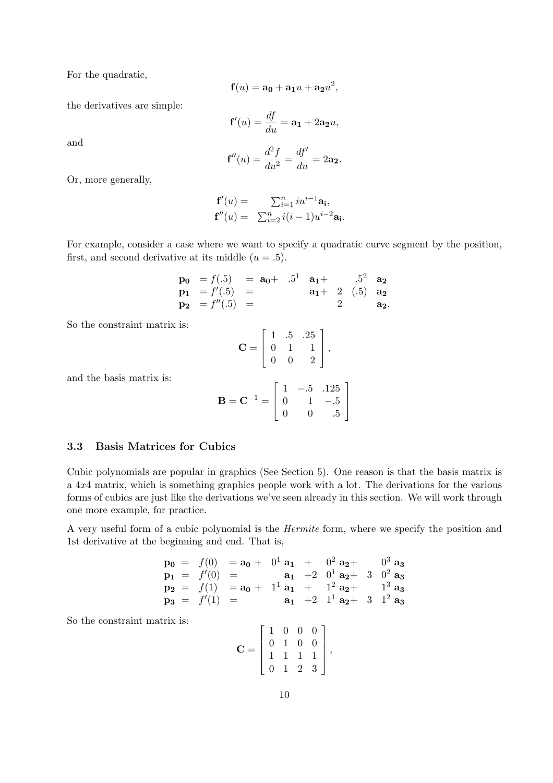For the quadratic,

$$
\mathbf{f}(u) = \mathbf{a_0} + \mathbf{a_1}u + \mathbf{a_2}u^2,
$$

the derivatives are simple:

$$
\mathbf{f}'(u) = \frac{df}{du} = \mathbf{a_1} + 2\mathbf{a_2}u,
$$

and

$$
\mathbf{f}''(u) = \frac{d^2 f}{du^2} = \frac{df'}{du} = 2\mathbf{a_2}.
$$

Or, more generally,

$$
\mathbf{f}'(u) = \sum_{i=1}^{n} i u^{i-1} \mathbf{a_i},
$$
  

$$
\mathbf{f}''(u) = \sum_{i=2}^{n} i(i-1) u^{i-2} \mathbf{a_i}.
$$

For example, consider a case where we want to specify a quadratic curve segment by the position, first, and second derivative at its middle  $(u = .5)$ .

$$
\begin{array}{rcl}\n\mathbf{p_0} & = f(.5) & = \mathbf{a_0} + .5^1 \quad \mathbf{a_1} + .5^2 \quad \mathbf{a_2} \\
\mathbf{p_1} & = f'(.5) & = .41 + 2 \quad (.5) \quad \mathbf{a_2} \\
\mathbf{p_2} & = f''(.5) & = .42.\n\end{array}
$$

So the constraint matrix is:

$$
\mathbf{C} = \left[ \begin{array}{rrr} 1 & .5 & .25 \\ 0 & 1 & 1 \\ 0 & 0 & 2 \end{array} \right],
$$

and the basis matrix is:

$$
\mathbf{B} = \mathbf{C}^{-1} = \begin{bmatrix} 1 & -0.5 & 0.125 \\ 0 & 1 & -0.5 \\ 0 & 0 & 0.5 \end{bmatrix}
$$

## 3.3 Basis Matrices for Cubics

Cubic polynomials are popular in graphics (See Section 5). One reason is that the basis matrix is a 4x4 matrix, which is something graphics people work with a lot. The derivations for the various forms of cubics are just like the derivations we've seen already in this section. We will work through one more example, for practice.

A very useful form of a cubic polynomial is the Hermite form, where we specify the position and 1st derivative at the beginning and end. That is,

$$
p_0 = f(0) = a_0 + 01 a_1 + 02 a_2 + 03 a_3\n p_1 = f'(0) = a_1 + 2 + 01 a_2 + 3 + 02 a_3\n p_2 = f(1) = a_0 + 11 a_1 + 12 a_2 + 13 a_3\n p_3 = f'(1) = a_1 + 2 + 11 a_2 + 3 + 12 a_3
$$

So the constraint matrix is:

$$
\mathbf{C} = \left[ \begin{array}{cccc} 1 & 0 & 0 & 0 \\ 0 & 1 & 0 & 0 \\ 1 & 1 & 1 & 1 \\ 0 & 1 & 2 & 3 \end{array} \right],
$$

 $\overline{a}$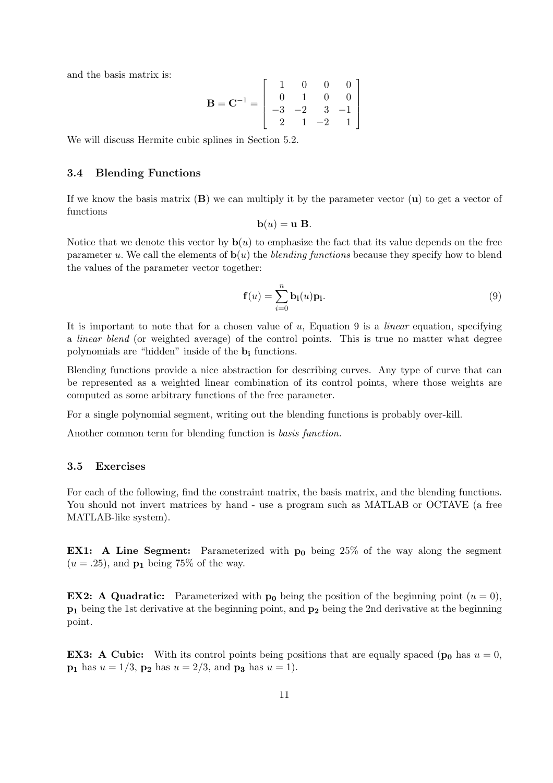and the basis matrix is:

$$
\mathbf{B} = \mathbf{C}^{-1} = \left[ \begin{array}{rrrr} 1 & 0 & 0 & 0 \\ 0 & 1 & 0 & 0 \\ -3 & -2 & 3 & -1 \\ 2 & 1 & -2 & 1 \end{array} \right]
$$

We will discuss Hermite cubic splines in Section 5.2.

#### 3.4 Blending Functions

If we know the basis matrix  $(B)$  we can multiply it by the parameter vector  $(u)$  to get a vector of functions

$$
\mathbf{b}(u) = \mathbf{u} \ \mathbf{B}.
$$

Notice that we denote this vector by  $\mathbf{b}(u)$  to emphasize the fact that its value depends on the free parameter u. We call the elements of  $\mathbf{b}(u)$  the *blending functions* because they specify how to blend the values of the parameter vector together:

$$
\mathbf{f}(u) = \sum_{i=0}^{n} \mathbf{b_i}(u)\mathbf{p_i}.
$$
 (9)

It is important to note that for a chosen value of u, Equation 9 is a *linear* equation, specifying a linear blend (or weighted average) of the control points. This is true no matter what degree polynomials are "hidden" inside of the  $b_i$  functions.

Blending functions provide a nice abstraction for describing curves. Any type of curve that can be represented as a weighted linear combination of its control points, where those weights are computed as some arbitrary functions of the free parameter.

For a single polynomial segment, writing out the blending functions is probably over-kill.

Another common term for blending function is basis function.

#### 3.5 Exercises

For each of the following, find the constraint matrix, the basis matrix, and the blending functions. You should not invert matrices by hand - use a program such as MATLAB or OCTAVE (a free MATLAB-like system).

EX1: A Line Segment: Parameterized with  $p_0$  being 25% of the way along the segment  $(u = .25)$ , and  $\mathbf{p}_1$  being 75% of the way.

**EX2:** A Quadratic: Parameterized with  $p_0$  being the position of the beginning point  $(u = 0)$ ,  $p_1$  being the 1st derivative at the beginning point, and  $p_2$  being the 2nd derivative at the beginning point.

**EX3:** A Cubic: With its control points being positions that are equally spaced ( $\mathbf{p_0}$  has  $u = 0$ ,  $p_1$  has  $u = 1/3$ ,  $p_2$  has  $u = 2/3$ , and  $p_3$  has  $u = 1$ ).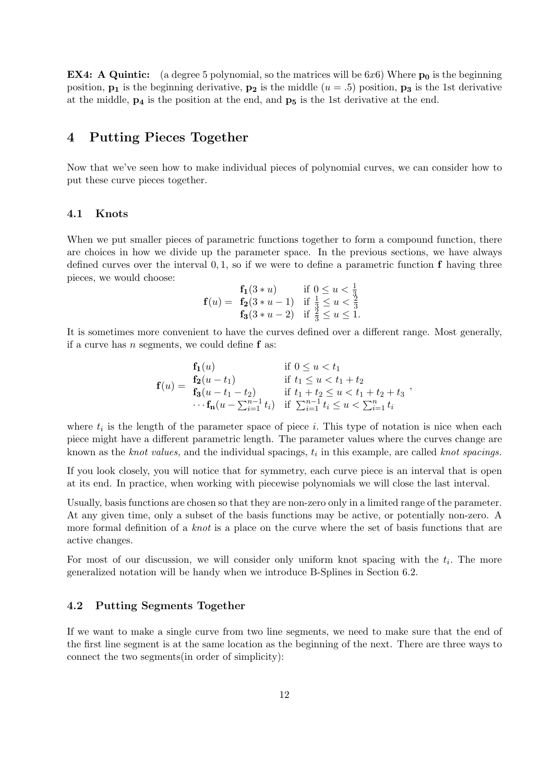**EX4:** A Quintic: (a degree 5 polynomial, so the matrices will be  $6x6$ ) Where  $p_0$  is the beginning position,  $\mathbf{p}_1$  is the beginning derivative,  $\mathbf{p}_2$  is the middle ( $u = .5$ ) position,  $\mathbf{p}_3$  is the 1st derivative at the middle,  $\mathbf{p}_4$  is the position at the end, and  $\mathbf{p}_5$  is the 1st derivative at the end.

## 4 Putting Pieces Together

Now that we've seen how to make individual pieces of polynomial curves, we can consider how to put these curve pieces together.

#### 4.1 Knots

When we put smaller pieces of parametric functions together to form a compound function, there are choices in how we divide up the parameter space. In the previous sections, we have always defined curves over the interval  $0, 1$ , so if we were to define a parametric function f having three pieces, we would choose:

$$
\mathbf{f}(u) = \begin{array}{ll} \mathbf{f_1}(3*u) & \text{if } 0 \le u < \frac{1}{3} \\ \mathbf{f_2}(3*u-1) & \text{if } \frac{1}{3} \le u < \frac{2}{3} \\ \mathbf{f_3}(3*u-2) & \text{if } \frac{2}{3} \le u \le 1. \end{array}
$$

It is sometimes more convenient to have the curves defined over a different range. Most generally, if a curve has  $n$  segments, we could define  $f$  as:

$$
\mathbf{f}_1(u) \qquad \text{if } 0 \le u < t_1
$$
\n
$$
\mathbf{f}(u) = \begin{cases}\n\mathbf{f}_2(u - t_1) & \text{if } t_1 \le u < t_1 + t_2 \\
\mathbf{f}_3(u - t_1 - t_2) & \text{if } t_1 + t_2 \le u < t_1 + t_2 + t_3 \\
\cdots \mathbf{f}_n(u - \sum_{i=1}^{n-1} t_i) & \text{if } \sum_{i=1}^{n-1} t_i \le u < \sum_{i=1}^n t_i\n\end{cases}
$$

,

where  $t_i$  is the length of the parameter space of piece i. This type of notation is nice when each piece might have a different parametric length. The parameter values where the curves change are known as the *knot values*, and the individual spacings,  $t_i$  in this example, are called *knot spacings*.

If you look closely, you will notice that for symmetry, each curve piece is an interval that is open at its end. In practice, when working with piecewise polynomials we will close the last interval.

Usually, basis functions are chosen so that they are non-zero only in a limited range of the parameter. At any given time, only a subset of the basis functions may be active, or potentially non-zero. A more formal definition of a *knot* is a place on the curve where the set of basis functions that are active changes.

For most of our discussion, we will consider only uniform knot spacing with the  $t_i$ . The more generalized notation will be handy when we introduce B-Splines in Section 6.2.

### 4.2 Putting Segments Together

If we want to make a single curve from two line segments, we need to make sure that the end of the first line segment is at the same location as the beginning of the next. There are three ways to connect the two segments(in order of simplicity):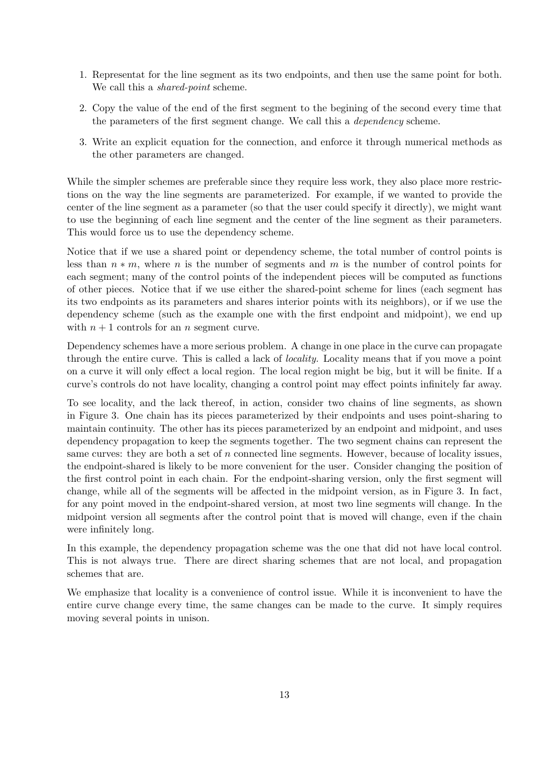- 1. Representat for the line segment as its two endpoints, and then use the same point for both. We call this a *shared-point* scheme.
- 2. Copy the value of the end of the first segment to the begining of the second every time that the parameters of the first segment change. We call this a dependency scheme.
- 3. Write an explicit equation for the connection, and enforce it through numerical methods as the other parameters are changed.

While the simpler schemes are preferable since they require less work, they also place more restrictions on the way the line segments are parameterized. For example, if we wanted to provide the center of the line segment as a parameter (so that the user could specify it directly), we might want to use the beginning of each line segment and the center of the line segment as their parameters. This would force us to use the dependency scheme.

Notice that if we use a shared point or dependency scheme, the total number of control points is less than  $n * m$ , where n is the number of segments and m is the number of control points for each segment; many of the control points of the independent pieces will be computed as functions of other pieces. Notice that if we use either the shared-point scheme for lines (each segment has its two endpoints as its parameters and shares interior points with its neighbors), or if we use the dependency scheme (such as the example one with the first endpoint and midpoint), we end up with  $n + 1$  controls for an n segment curve.

Dependency schemes have a more serious problem. A change in one place in the curve can propagate through the entire curve. This is called a lack of locality. Locality means that if you move a point on a curve it will only effect a local region. The local region might be big, but it will be finite. If a curve's controls do not have locality, changing a control point may effect points infinitely far away.

To see locality, and the lack thereof, in action, consider two chains of line segments, as shown in Figure 3. One chain has its pieces parameterized by their endpoints and uses point-sharing to maintain continuity. The other has its pieces parameterized by an endpoint and midpoint, and uses dependency propagation to keep the segments together. The two segment chains can represent the same curves: they are both a set of  $n$  connected line segments. However, because of locality issues, the endpoint-shared is likely to be more convenient for the user. Consider changing the position of the first control point in each chain. For the endpoint-sharing version, only the first segment will change, while all of the segments will be affected in the midpoint version, as in Figure 3. In fact, for any point moved in the endpoint-shared version, at most two line segments will change. In the midpoint version all segments after the control point that is moved will change, even if the chain were infinitely long.

In this example, the dependency propagation scheme was the one that did not have local control. This is not always true. There are direct sharing schemes that are not local, and propagation schemes that are.

We emphasize that locality is a convenience of control issue. While it is inconvenient to have the entire curve change every time, the same changes can be made to the curve. It simply requires moving several points in unison.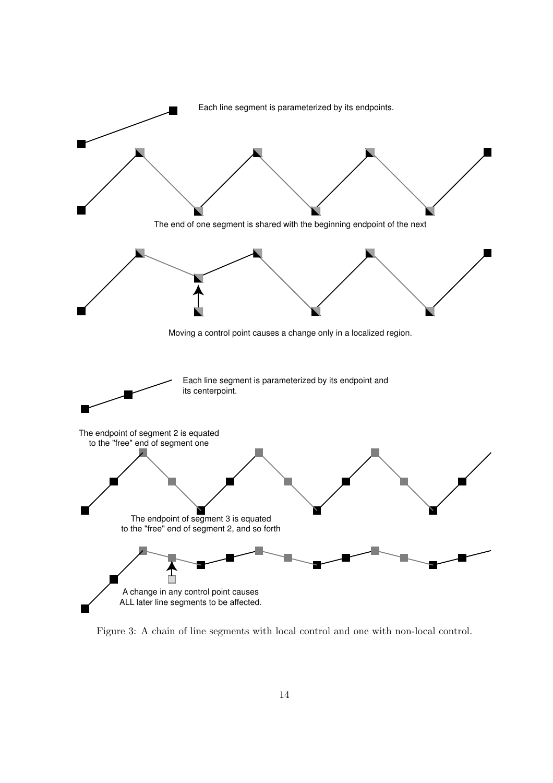

Figure 3: A chain of line segments with local control and one with non-local control.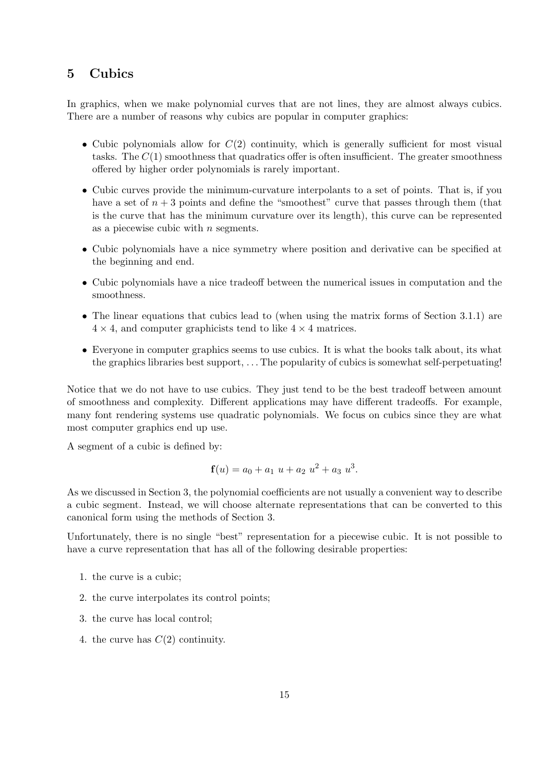## 5 Cubics

In graphics, when we make polynomial curves that are not lines, they are almost always cubics. There are a number of reasons why cubics are popular in computer graphics:

- Cubic polynomials allow for  $C(2)$  continuity, which is generally sufficient for most visual tasks. The  $C(1)$  smoothness that quadratics offer is often insufficient. The greater smoothness offered by higher order polynomials is rarely important.
- Cubic curves provide the minimum-curvature interpolants to a set of points. That is, if you have a set of  $n + 3$  points and define the "smoothest" curve that passes through them (that is the curve that has the minimum curvature over its length), this curve can be represented as a piecewise cubic with  $n$  segments.
- Cubic polynomials have a nice symmetry where position and derivative can be specified at the beginning and end.
- Cubic polynomials have a nice tradeoff between the numerical issues in computation and the smoothness.
- The linear equations that cubics lead to (when using the matrix forms of Section 3.1.1) are  $4 \times 4$ , and computer graphicists tend to like  $4 \times 4$  matrices.
- Everyone in computer graphics seems to use cubics. It is what the books talk about, its what the graphics libraries best support, . . . The popularity of cubics is somewhat self-perpetuating!

Notice that we do not have to use cubics. They just tend to be the best tradeoff between amount of smoothness and complexity. Different applications may have different tradeoffs. For example, many font rendering systems use quadratic polynomials. We focus on cubics since they are what most computer graphics end up use.

A segment of a cubic is defined by:

$$
\mathbf{f}(u) = a_0 + a_1 u + a_2 u^2 + a_3 u^3.
$$

As we discussed in Section 3, the polynomial coefficients are not usually a convenient way to describe a cubic segment. Instead, we will choose alternate representations that can be converted to this canonical form using the methods of Section 3.

Unfortunately, there is no single "best" representation for a piecewise cubic. It is not possible to have a curve representation that has all of the following desirable properties:

- 1. the curve is a cubic;
- 2. the curve interpolates its control points;
- 3. the curve has local control;
- 4. the curve has  $C(2)$  continuity.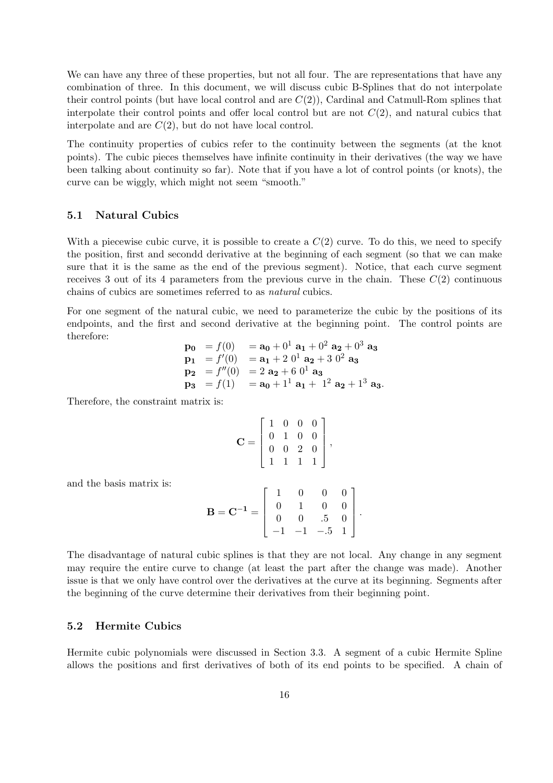We can have any three of these properties, but not all four. The are representations that have any combination of three. In this document, we will discuss cubic B-Splines that do not interpolate their control points (but have local control and are  $C(2)$ ), Cardinal and Catmull-Rom splines that interpolate their control points and offer local control but are not  $C(2)$ , and natural cubics that interpolate and are  $C(2)$ , but do not have local control.

The continuity properties of cubics refer to the continuity between the segments (at the knot points). The cubic pieces themselves have infinite continuity in their derivatives (the way we have been talking about continuity so far). Note that if you have a lot of control points (or knots), the curve can be wiggly, which might not seem "smooth."

#### 5.1 Natural Cubics

With a piecewise cubic curve, it is possible to create a  $C(2)$  curve. To do this, we need to specify the position, first and secondd derivative at the beginning of each segment (so that we can make sure that it is the same as the end of the previous segment). Notice, that each curve segment receives 3 out of its 4 parameters from the previous curve in the chain. These  $C(2)$  continuous chains of cubics are sometimes referred to as natural cubics.

For one segment of the natural cubic, we need to parameterize the cubic by the positions of its endpoints, and the first and second derivative at the beginning point. The control points are therefore:

$$
p_0 = f(0) = a_0 + 0^1 a_1 + 0^2 a_2 + 0^3 a_3
$$
  
\n
$$
p_1 = f'(0) = a_1 + 2 0^1 a_2 + 3 0^2 a_3
$$
  
\n
$$
p_2 = f''(0) = 2 a_2 + 6 0^1 a_3
$$
  
\n
$$
p_3 = f(1) = a_0 + 1^1 a_1 + 1^2 a_2 + 1^3 a_3.
$$

Therefore, the constraint matrix is:

$$
\mathbf{C} = \left[ \begin{array}{cccc} 1 & 0 & 0 & 0 \\ 0 & 1 & 0 & 0 \\ 0 & 0 & 2 & 0 \\ 1 & 1 & 1 & 1 \end{array} \right],
$$

and the basis matrix is:

$$
\mathbf{B} = \mathbf{C}^{-1} = \left[ \begin{array}{cccc} 1 & 0 & 0 & 0 \\ 0 & 1 & 0 & 0 \\ 0 & 0 & .5 & 0 \\ -1 & -1 & -0.5 & 1 \end{array} \right].
$$

The disadvantage of natural cubic splines is that they are not local. Any change in any segment may require the entire curve to change (at least the part after the change was made). Another issue is that we only have control over the derivatives at the curve at its beginning. Segments after the beginning of the curve determine their derivatives from their beginning point.

### 5.2 Hermite Cubics

Hermite cubic polynomials were discussed in Section 3.3. A segment of a cubic Hermite Spline allows the positions and first derivatives of both of its end points to be specified. A chain of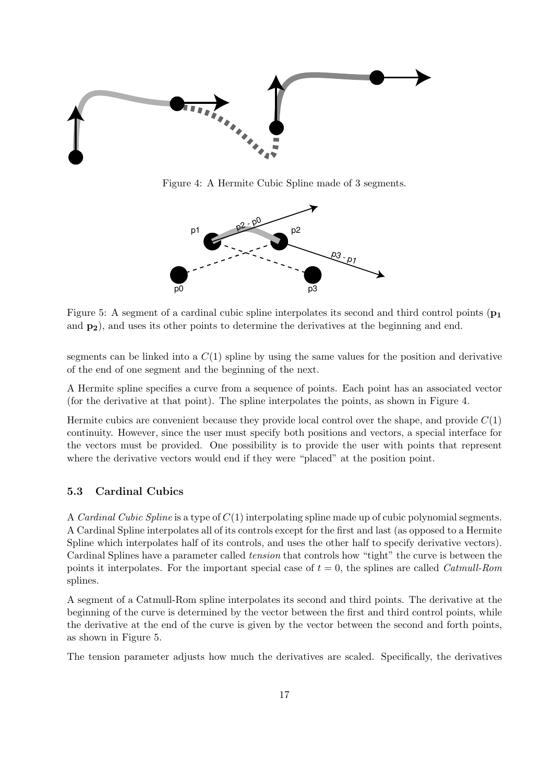

Figure 4: A Hermite Cubic Spline made of 3 segments.



Figure 5: A segment of a cardinal cubic spline interpolates its second and third control points  $(p_1)$ and  $\mathbf{p}_2$ ), and uses its other points to determine the derivatives at the beginning and end.

segments can be linked into a  $C(1)$  spline by using the same values for the position and derivative of the end of one segment and the beginning of the next.

A Hermite spline specifies a curve from a sequence of points. Each point has an associated vector (for the derivative at that point). The spline interpolates the points, as shown in Figure 4.

Hermite cubics are convenient because they provide local control over the shape, and provide  $C(1)$ continuity. However, since the user must specify both positions and vectors, a special interface for the vectors must be provided. One possibility is to provide the user with points that represent where the derivative vectors would end if they were "placed" at the position point.

#### 5.3 Cardinal Cubics

A Cardinal Cubic Spline is a type of  $C(1)$  interpolating spline made up of cubic polynomial segments. A Cardinal Spline interpolates all of its controls except for the first and last (as opposed to a Hermite Spline which interpolates half of its controls, and uses the other half to specify derivative vectors). Cardinal Splines have a parameter called tension that controls how "tight" the curve is between the points it interpolates. For the important special case of  $t = 0$ , the splines are called *Catmull-Rom* splines.

A segment of a Catmull-Rom spline interpolates its second and third points. The derivative at the beginning of the curve is determined by the vector between the first and third control points, while the derivative at the end of the curve is given by the vector between the second and forth points, as shown in Figure 5.

The tension parameter adjusts how much the derivatives are scaled. Specifically, the derivatives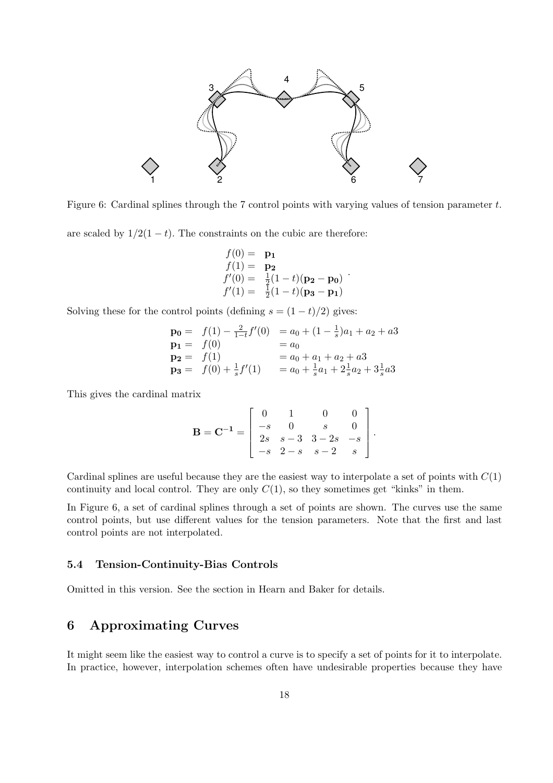

Figure 6: Cardinal splines through the 7 control points with varying values of tension parameter  $t$ .

are scaled by  $1/2(1-t)$ . The constraints on the cubic are therefore:

$$
f(0) = \mathbf{p_1}
$$
  
\n
$$
f(1) = \mathbf{p_2}
$$
  
\n
$$
f'(0) = \frac{1}{2}(1-t)(\mathbf{p_2} - \mathbf{p_0})
$$
  
\n
$$
f'(1) = \frac{1}{2}(1-t)(\mathbf{p_3} - \mathbf{p_1})
$$

Solving these for the control points (defining  $s = (1 - t)/2$ ) gives:

$$
\begin{array}{lll}\n\mathbf{p_0} &=& f(1) - \frac{2}{1-t}f'(0) &=& a_0 + (1 - \frac{1}{s})a_1 + a_2 + a_3 \\
\mathbf{p_1} &=& f(0) &=& a_0 \\
\mathbf{p_2} &=& f(1) &=& a_0 + a_1 + a_2 + a_3 \\
\mathbf{p_3} &=& f(0) + \frac{1}{s}f'(1) &=& a_0 + \frac{1}{s}a_1 + 2\frac{1}{s}a_2 + 3\frac{1}{s}a_3\n\end{array}
$$

This gives the cardinal matrix

$$
\mathbf{B} = \mathbf{C}^{-1} = \begin{bmatrix} 0 & 1 & 0 & 0 \\ -s & 0 & s & 0 \\ 2s & s-3 & 3-2s & -s \\ -s & 2-s & s-2 & s \end{bmatrix}.
$$

Cardinal splines are useful because they are the easiest way to interpolate a set of points with  $C(1)$ continuity and local control. They are only  $C(1)$ , so they sometimes get "kinks" in them.

In Figure 6, a set of cardinal splines through a set of points are shown. The curves use the same control points, but use different values for the tension parameters. Note that the first and last control points are not interpolated.

## 5.4 Tension-Continuity-Bias Controls

Omitted in this version. See the section in Hearn and Baker for details.

## 6 Approximating Curves

It might seem like the easiest way to control a curve is to specify a set of points for it to interpolate. In practice, however, interpolation schemes often have undesirable properties because they have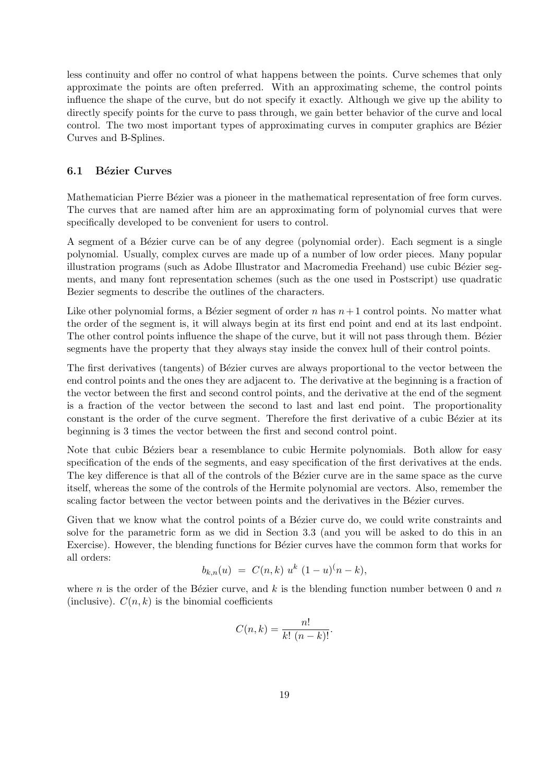less continuity and offer no control of what happens between the points. Curve schemes that only approximate the points are often preferred. With an approximating scheme, the control points influence the shape of the curve, but do not specify it exactly. Although we give up the ability to directly specify points for the curve to pass through, we gain better behavior of the curve and local control. The two most important types of approximating curves in computer graphics are Bézier Curves and B-Splines.

## 6.1 Bézier Curves

Mathematician Pierre Bézier was a pioneer in the mathematical representation of free form curves. The curves that are named after him are an approximating form of polynomial curves that were specifically developed to be convenient for users to control.

A segment of a Bézier curve can be of any degree (polynomial order). Each segment is a single polynomial. Usually, complex curves are made up of a number of low order pieces. Many popular illustration programs (such as Adobe Illustrator and Macromedia Freehand) use cubic Bézier segments, and many font representation schemes (such as the one used in Postscript) use quadratic Bezier segments to describe the outlines of the characters.

Like other polynomial forms, a Bézier segment of order n has  $n+1$  control points. No matter what the order of the segment is, it will always begin at its first end point and end at its last endpoint. The other control points influence the shape of the curve, but it will not pass through them. Bézier segments have the property that they always stay inside the convex hull of their control points.

The first derivatives (tangents) of Bézier curves are always proportional to the vector between the end control points and the ones they are adjacent to. The derivative at the beginning is a fraction of the vector between the first and second control points, and the derivative at the end of the segment is a fraction of the vector between the second to last and last end point. The proportionality constant is the order of the curve segment. Therefore the first derivative of a cubic Bézier at its beginning is 3 times the vector between the first and second control point.

Note that cubic Béziers bear a resemblance to cubic Hermite polynomials. Both allow for easy specification of the ends of the segments, and easy specification of the first derivatives at the ends. The key difference is that all of the controls of the Bézier curve are in the same space as the curve itself, whereas the some of the controls of the Hermite polynomial are vectors. Also, remember the scaling factor between the vector between points and the derivatives in the Bézier curves.

Given that we know what the control points of a Bézier curve do, we could write constraints and solve for the parametric form as we did in Section 3.3 (and you will be asked to do this in an Exercise). However, the blending functions for Bézier curves have the common form that works for all orders:

$$
b_{k,n}(u) = C(n,k) u^{k} (1-u)^{(n-k)},
$$

where n is the order of the Bézier curve, and k is the blending function number between 0 and n (inclusive).  $C(n, k)$  is the binomial coefficients

$$
C(n,k) = \frac{n!}{k! (n-k)!}.
$$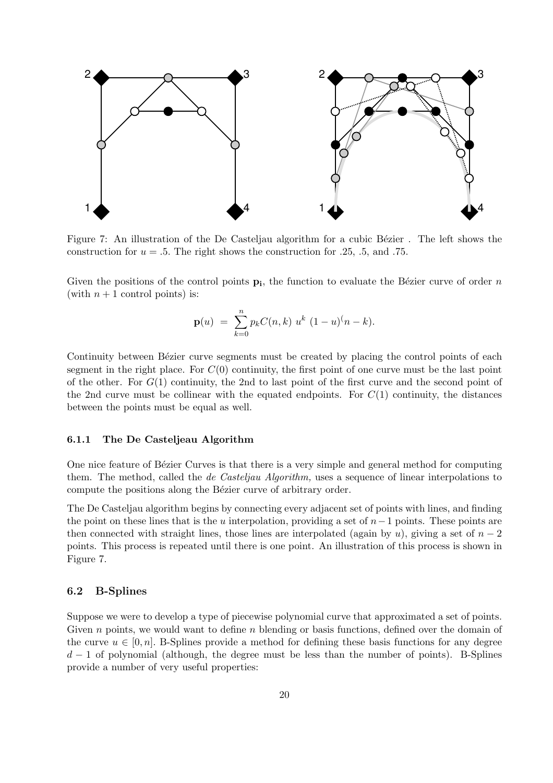

Figure 7: An illustration of the De Casteljau algorithm for a cubic Bézier. The left shows the construction for  $u = .5$ . The right shows the construction for  $.25, .5,$  and  $.75$ .

Given the positions of the control points  $p_i$ , the function to evaluate the Bézier curve of order n (with  $n+1$  control points) is:

$$
\mathbf{p}(u) = \sum_{k=0}^{n} p_k C(n,k) u^k (1-u)^{(n-k)}.
$$

Continuity between Bézier curve segments must be created by placing the control points of each segment in the right place. For  $C(0)$  continuity, the first point of one curve must be the last point of the other. For  $G(1)$  continuity, the 2nd to last point of the first curve and the second point of the 2nd curve must be collinear with the equated endpoints. For  $C(1)$  continuity, the distances between the points must be equal as well.

#### 6.1.1 The De Casteljeau Algorithm

One nice feature of Bézier Curves is that there is a very simple and general method for computing them. The method, called the de Casteljau Algorithm, uses a sequence of linear interpolations to compute the positions along the Bézier curve of arbitrary order.

The De Casteljau algorithm begins by connecting every adjacent set of points with lines, and finding the point on these lines that is the u interpolation, providing a set of  $n-1$  points. These points are then connected with straight lines, those lines are interpolated (again by u), giving a set of  $n-2$ points. This process is repeated until there is one point. An illustration of this process is shown in Figure 7.

#### 6.2 B-Splines

Suppose we were to develop a type of piecewise polynomial curve that approximated a set of points. Given n points, we would want to define n blending or basis functions, defined over the domain of the curve  $u \in [0, n]$ . B-Splines provide a method for defining these basis functions for any degree  $d-1$  of polynomial (although, the degree must be less than the number of points). B-Splines provide a number of very useful properties: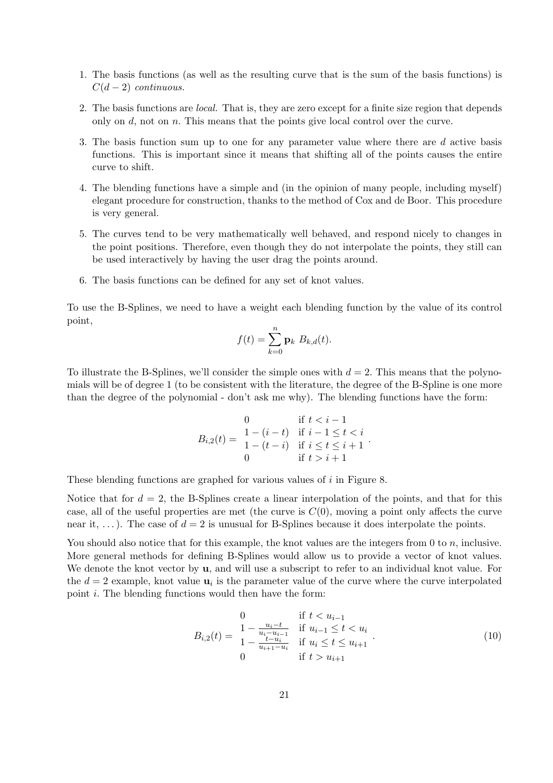- 1. The basis functions (as well as the resulting curve that is the sum of the basis functions) is  $C(d-2)$  continuous.
- 2. The basis functions are local. That is, they are zero except for a finite size region that depends only on d, not on n. This means that the points give local control over the curve.
- 3. The basis function sum up to one for any parameter value where there are d active basis functions. This is important since it means that shifting all of the points causes the entire curve to shift.
- 4. The blending functions have a simple and (in the opinion of many people, including myself) elegant procedure for construction, thanks to the method of Cox and de Boor. This procedure is very general.
- 5. The curves tend to be very mathematically well behaved, and respond nicely to changes in the point positions. Therefore, even though they do not interpolate the points, they still can be used interactively by having the user drag the points around.
- 6. The basis functions can be defined for any set of knot values.

To use the B-Splines, we need to have a weight each blending function by the value of its control point,

$$
f(t) = \sum_{k=0}^{n} \mathbf{p}_k B_{k,d}(t).
$$

To illustrate the B-Splines, we'll consider the simple ones with  $d = 2$ . This means that the polynomials will be of degree 1 (to be consistent with the literature, the degree of the B-Spline is one more than the degree of the polynomial - don't ask me why). The blending functions have the form:

$$
B_{i,2}(t) = \begin{cases} 0 & \text{if } t < i - 1 \\ 1 - (i - t) & \text{if } i - 1 \le t < i \\ 1 - (t - i) & \text{if } i \le t \le i + 1 \\ 0 & \text{if } t > i + 1 \end{cases}.
$$

These blending functions are graphed for various values of i in Figure 8.

Notice that for  $d = 2$ , the B-Splines create a linear interpolation of the points, and that for this case, all of the useful properties are met (the curve is  $C(0)$ , moving a point only affects the curve near it, ...). The case of  $d = 2$  is unusual for B-Splines because it does interpolate the points.

You should also notice that for this example, the knot values are the integers from 0 to n, inclusive. More general methods for defining B-Splines would allow us to provide a vector of knot values. We denote the knot vector by **u**, and will use a subscript to refer to an individual knot value. For the  $d = 2$  example, knot value  $\mathbf{u}_i$  is the parameter value of the curve where the curve interpolated point i. The blending functions would then have the form:

$$
B_{i,2}(t) = \begin{cases} 0 & \text{if } t < u_{i-1} \\ 1 - \frac{u_i - t}{u_i - u_{i-1}} & \text{if } u_{i-1} \le t < u_i \\ 1 - \frac{t - u_i}{u_{i+1} - u_i} & \text{if } u_i \le t \le u_{i+1} \\ 0 & \text{if } t > u_{i+1} \end{cases} \tag{10}
$$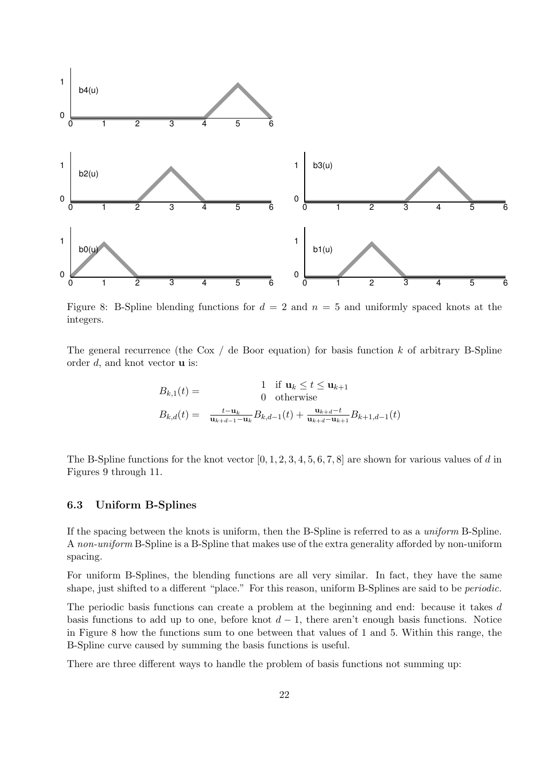

Figure 8: B-Spline blending functions for  $d = 2$  and  $n = 5$  and uniformly spaced knots at the integers.

The general recurrence (the Cox  $/$  de Boor equation) for basis function  $k$  of arbitrary B-Spline order  $d$ , and knot vector **u** is:

$$
B_{k,1}(t) = \begin{cases} 1 & \text{if } \mathbf{u}_k \le t \le \mathbf{u}_{k+1} \\ 0 & \text{otherwise} \end{cases}
$$
  

$$
B_{k,d}(t) = \frac{t - \mathbf{u}_k}{\mathbf{u}_{k+d-1} - \mathbf{u}_k} B_{k,d-1}(t) + \frac{\mathbf{u}_{k+d} - t}{\mathbf{u}_{k+d} - \mathbf{u}_{k+1}} B_{k+1,d-1}(t)
$$

The B-Spline functions for the knot vector  $[0, 1, 2, 3, 4, 5, 6, 7, 8]$  are shown for various values of d in Figures 9 through 11.

### 6.3 Uniform B-Splines

If the spacing between the knots is uniform, then the B-Spline is referred to as a uniform B-Spline. A non-uniform B-Spline is a B-Spline that makes use of the extra generality afforded by non-uniform spacing.

For uniform B-Splines, the blending functions are all very similar. In fact, they have the same shape, just shifted to a different "place." For this reason, uniform B-Splines are said to be periodic.

The periodic basis functions can create a problem at the beginning and end: because it takes d basis functions to add up to one, before knot  $d-1$ , there aren't enough basis functions. Notice in Figure 8 how the functions sum to one between that values of 1 and 5. Within this range, the B-Spline curve caused by summing the basis functions is useful.

There are three different ways to handle the problem of basis functions not summing up: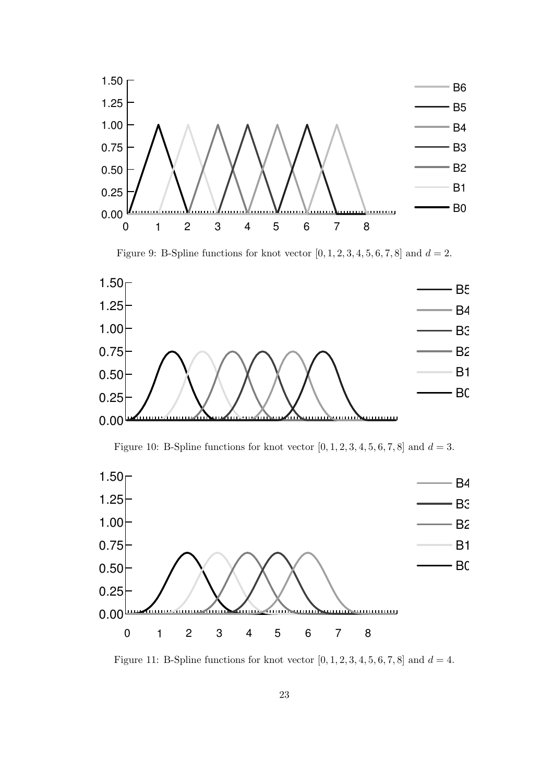

Figure 9: B-Spline functions for knot vector  $[0, 1, 2, 3, 4, 5, 6, 7, 8]$  and  $d = 2$ .



Figure 10: B-Spline functions for knot vector  $[0, 1, 2, 3, 4, 5, 6, 7, 8]$  and  $d = 3$ .



Figure 11: B-Spline functions for knot vector  $[0, 1, 2, 3, 4, 5, 6, 7, 8]$  and  $d = 4$ .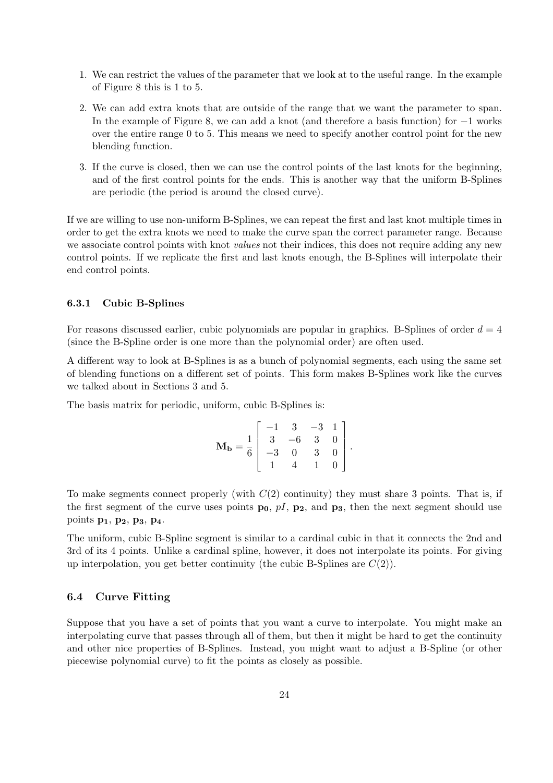- 1. We can restrict the values of the parameter that we look at to the useful range. In the example of Figure 8 this is 1 to 5.
- 2. We can add extra knots that are outside of the range that we want the parameter to span. In the example of Figure 8, we can add a knot (and therefore a basis function) for −1 works over the entire range 0 to 5. This means we need to specify another control point for the new blending function.
- 3. If the curve is closed, then we can use the control points of the last knots for the beginning, and of the first control points for the ends. This is another way that the uniform B-Splines are periodic (the period is around the closed curve).

If we are willing to use non-uniform B-Splines, we can repeat the first and last knot multiple times in order to get the extra knots we need to make the curve span the correct parameter range. Because we associate control points with knot *values* not their indices, this does not require adding any new control points. If we replicate the first and last knots enough, the B-Splines will interpolate their end control points.

## 6.3.1 Cubic B-Splines

For reasons discussed earlier, cubic polynomials are popular in graphics. B-Splines of order  $d = 4$ (since the B-Spline order is one more than the polynomial order) are often used.

A different way to look at B-Splines is as a bunch of polynomial segments, each using the same set of blending functions on a different set of points. This form makes B-Splines work like the curves we talked about in Sections 3 and 5.

The basis matrix for periodic, uniform, cubic B-Splines is:

$$
\mathbf{M_b} = \frac{1}{6} \left[ \begin{array}{rrrr} -1 & 3 & -3 & 1 \\ 3 & -6 & 3 & 0 \\ -3 & 0 & 3 & 0 \\ 1 & 4 & 1 & 0 \end{array} \right].
$$

To make segments connect properly (with  $C(2)$  continuity) they must share 3 points. That is, if the first segment of the curve uses points  $\mathbf{p}_0$ ,  $p_1$ ,  $\mathbf{p}_2$ , and  $\mathbf{p}_3$ , then the next segment should use points  $\mathbf{p}_1$ ,  $\mathbf{p}_2$ ,  $\mathbf{p}_3$ ,  $\mathbf{p}_4$ .

The uniform, cubic B-Spline segment is similar to a cardinal cubic in that it connects the 2nd and 3rd of its 4 points. Unlike a cardinal spline, however, it does not interpolate its points. For giving up interpolation, you get better continuity (the cubic B-Splines are  $C(2)$ ).

### 6.4 Curve Fitting

Suppose that you have a set of points that you want a curve to interpolate. You might make an interpolating curve that passes through all of them, but then it might be hard to get the continuity and other nice properties of B-Splines. Instead, you might want to adjust a B-Spline (or other piecewise polynomial curve) to fit the points as closely as possible.